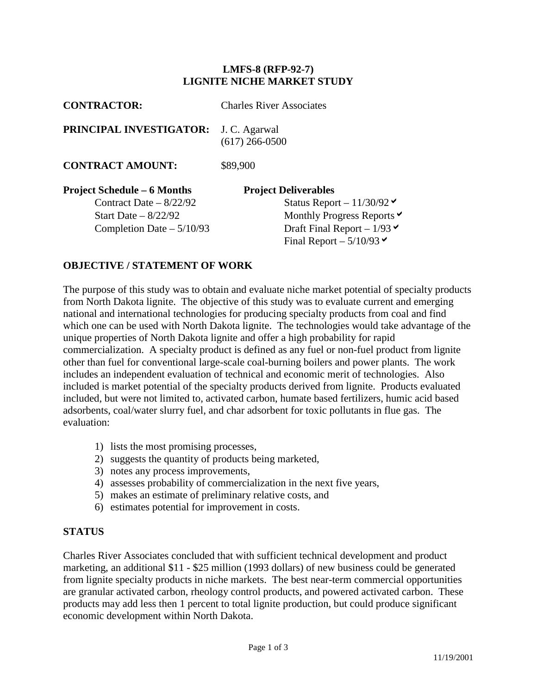## **LMFS-8 (RFP-92-7) LIGNITE NICHE MARKET STUDY**

| <b>CONTRACTOR:</b>                 | <b>Charles River Associates</b>    |
|------------------------------------|------------------------------------|
| PRINCIPAL INVESTIGATOR:            | J. C. Agarwal<br>$(617)$ 266-0500  |
| <b>CONTRACT AMOUNT:</b>            | \$89,900                           |
| <b>Project Schedule – 6 Months</b> | <b>Project Deliverables</b>        |
| Contract Date $-8/22/92$           | Status Report $-11/30/92$          |
| Start Date $-8/22/92$              | Monthly Progress Reports $\vee$    |
| Completion Date $-5/10/93$         | Draft Final Report – $1/93 \times$ |
|                                    | Final Report $-5/10/93$            |

## **OBJECTIVE / STATEMENT OF WORK**

The purpose of this study was to obtain and evaluate niche market potential of specialty products from North Dakota lignite. The objective of this study was to evaluate current and emerging national and international technologies for producing specialty products from coal and find which one can be used with North Dakota lignite. The technologies would take advantage of the unique properties of North Dakota lignite and offer a high probability for rapid commercialization. A specialty product is defined as any fuel or non-fuel product from lignite other than fuel for conventional large-scale coal-burning boilers and power plants. The work includes an independent evaluation of technical and economic merit of technologies. Also included is market potential of the specialty products derived from lignite. Products evaluated included, but were not limited to, activated carbon, humate based fertilizers, humic acid based adsorbents, coal/water slurry fuel, and char adsorbent for toxic pollutants in flue gas. The evaluation:

- 1) lists the most promising processes,
- 2) suggests the quantity of products being marketed,
- 3) notes any process improvements,
- 4) assesses probability of commercialization in the next five years,
- 5) makes an estimate of preliminary relative costs, and
- 6) estimates potential for improvement in costs.

## **STATUS**

Charles River Associates concluded that with sufficient technical development and product marketing, an additional \$11 - \$25 million (1993 dollars) of new business could be generated from lignite specialty products in niche markets. The best near-term commercial opportunities are granular activated carbon, rheology control products, and powered activated carbon. These products may add less then 1 percent to total lignite production, but could produce significant economic development within North Dakota.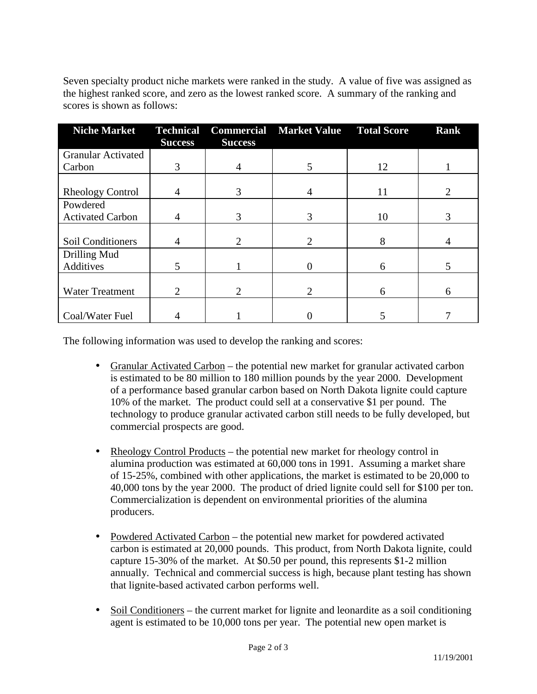Seven specialty product niche markets were ranked in the study. A value of five was assigned as the highest ranked score, and zero as the lowest ranked score. A summary of the ranking and scores is shown as follows:

| <b>Niche Market</b>       | <b>Technical</b>            |                | <b>Commercial Market Value Total Score</b> |    | <b>Rank</b> |
|---------------------------|-----------------------------|----------------|--------------------------------------------|----|-------------|
|                           | <b>Success</b>              | <b>Success</b> |                                            |    |             |
| <b>Granular Activated</b> |                             |                |                                            |    |             |
| Carbon                    | 3                           | 4              | 5                                          | 12 |             |
|                           |                             |                |                                            |    |             |
| <b>Rheology Control</b>   | 4                           | 3              | 4                                          | 11 |             |
| Powdered                  |                             |                |                                            |    |             |
| <b>Activated Carbon</b>   | 4                           | 3              | 3                                          | 10 | 3           |
|                           |                             |                |                                            |    |             |
| Soil Conditioners         | 4                           | 2              | $\overline{2}$                             | 8  | 4           |
| Drilling Mud              |                             |                |                                            |    |             |
| Additives                 | 5                           |                |                                            | 6  |             |
|                           |                             |                |                                            |    |             |
| <b>Water Treatment</b>    | $\mathcal{D}_{\mathcal{L}}$ | 2              | $\overline{2}$                             | 6  | 6           |
|                           |                             |                |                                            |    |             |
| Coal/Water Fuel           |                             |                |                                            |    |             |

The following information was used to develop the ranking and scores:

- Granular Activated Carbon the potential new market for granular activated carbon is estimated to be 80 million to 180 million pounds by the year 2000. Development of a performance based granular carbon based on North Dakota lignite could capture 10% of the market. The product could sell at a conservative \$1 per pound. The technology to produce granular activated carbon still needs to be fully developed, but commercial prospects are good.
- Rheology Control Products the potential new market for rheology control in alumina production was estimated at 60,000 tons in 1991. Assuming a market share of 15-25%, combined with other applications, the market is estimated to be 20,000 to 40,000 tons by the year 2000. The product of dried lignite could sell for \$100 per ton. Commercialization is dependent on environmental priorities of the alumina producers.
- Powdered Activated Carbon the potential new market for powdered activated carbon is estimated at 20,000 pounds. This product, from North Dakota lignite, could capture 15-30% of the market. At \$0.50 per pound, this represents \$1-2 million annually. Technical and commercial success is high, because plant testing has shown that lignite-based activated carbon performs well.
- Soil Conditioners the current market for lignite and leonardite as a soil conditioning agent is estimated to be 10,000 tons per year. The potential new open market is